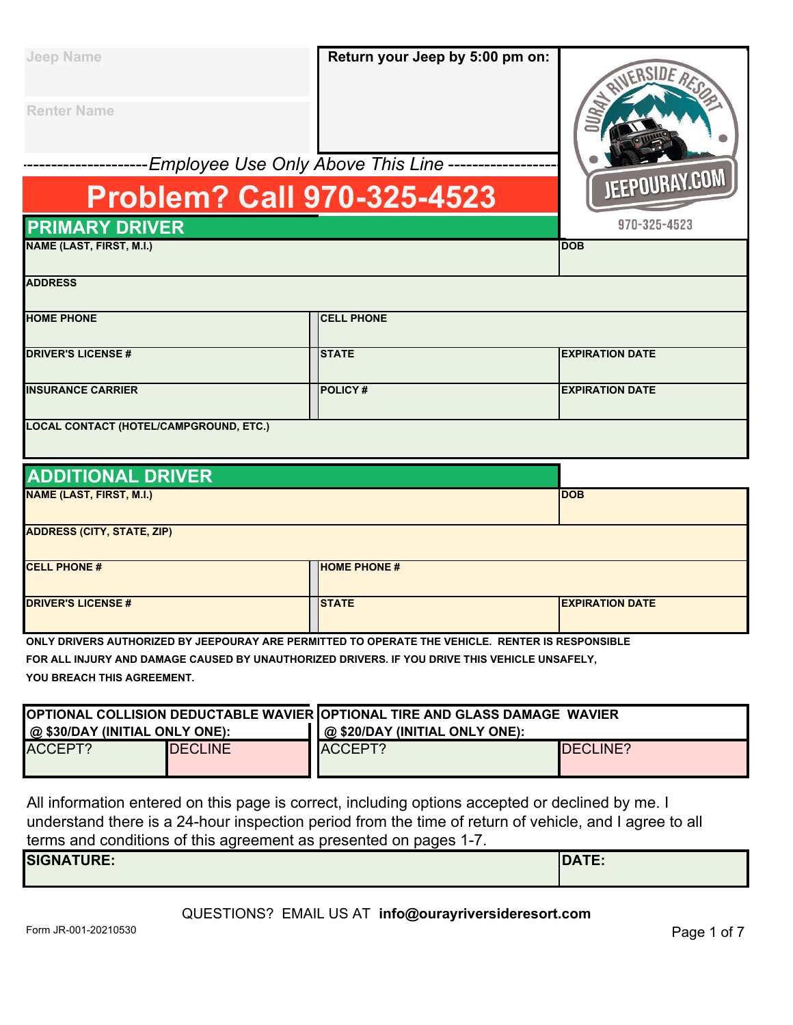| <b>Jeep Name</b>                       | Return your Jeep by 5:00 pm on:     |                        |
|----------------------------------------|-------------------------------------|------------------------|
| <b>Renter Name</b>                     |                                     |                        |
|                                        | Employee Use Only Above This Line - |                        |
|                                        | <b>Problem? Call 970-325-4523</b>   | JEEPOURAY.COM          |
| <b>PRIMARY DRIVER</b>                  |                                     | 970-325-4523           |
| <b>NAME (LAST, FIRST, M.I.)</b>        |                                     | <b>DOB</b>             |
| <b>ADDRESS</b>                         |                                     |                        |
| <b>HOME PHONE</b>                      | <b>CELL PHONE</b>                   |                        |
| <b>DRIVER'S LICENSE#</b>               | <b>STATE</b>                        | <b>EXPIRATION DATE</b> |
| <b>INSURANCE CARRIER</b>               | <b>POLICY#</b>                      | <b>EXPIRATION DATE</b> |
| LOCAL CONTACT (HOTEL/CAMPGROUND, ETC.) |                                     |                        |

|  |  | <b>ADDITIONAL DRIVER</b> |  |
|--|--|--------------------------|--|
|  |  |                          |  |

| <b>INDUITURAL DINTLIN</b>         |                     |                        |
|-----------------------------------|---------------------|------------------------|
| <b>NAME (LAST, FIRST, M.I.)</b>   |                     | <b>IDOB</b>            |
| <b>ADDRESS (CITY, STATE, ZIP)</b> |                     |                        |
| <b>CELL PHONE #</b>               | <b>HOME PHONE #</b> |                        |
| <b>DRIVER'S LICENSE#</b>          | <b>STATE</b>        | <b>EXPIRATION DATE</b> |

**ONLY DRIVERS AUTHORIZED BY JEEPOURAY ARE PERMITTED TO OPERATE THE VEHICLE. RENTER IS RESPONSIBLE FOR ALL INJURY AND DAMAGE CAUSED BY UNAUTHORIZED DRIVERS. IF YOU DRIVE THIS VEHICLE UNSAFELY, YOU BREACH THIS AGREEMENT.**

| <b>[OPTIONAL COLLISION DEDUCTABLE WAVIER [OPTIONAL TIRE AND GLASS DAMAGE WAVIER</b> |                |                                |                  |
|-------------------------------------------------------------------------------------|----------------|--------------------------------|------------------|
| @ \$30/DAY (INITIAL ONLY ONE):                                                      |                | @ \$20/DAY (INITIAL ONLY ONE): |                  |
| ACCEPT?                                                                             | <b>DECLINE</b> | ACCEPT?                        | <b>IDECLINE?</b> |
|                                                                                     |                |                                |                  |

All information entered on this page is correct, including options accepted or declined by me. I understand there is a 24-hour inspection period from the time of return of vehicle, and I agree to all terms and conditions of this agreement as presented on pages 1-7.

| SIGNATURE: | <b>DATE</b><br>IUA I E. |
|------------|-------------------------|
|            |                         |

#### QUESTIONS? EMAIL US AT **info@ourayriversideresort.com**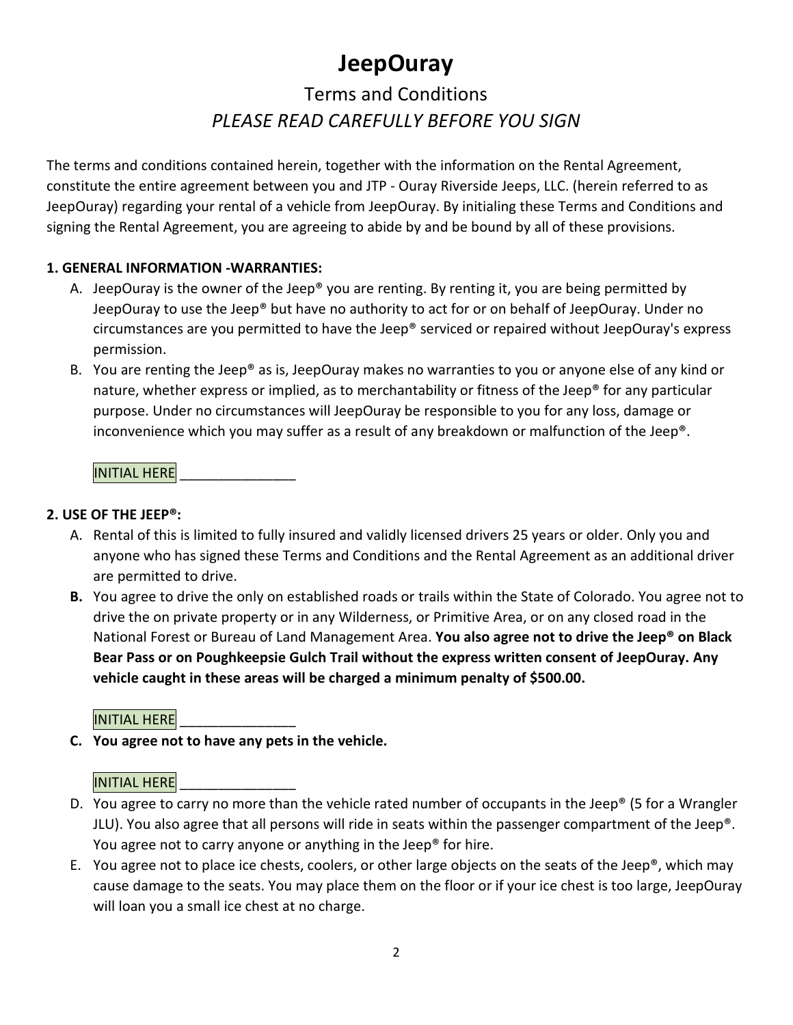## **JeepOuray**

### Terms and Conditions *PLEASE READ CAREFULLY BEFORE YOU SIGN*

The terms and conditions contained herein, together with the information on the Rental Agreement, constitute the entire agreement between you and JTP - Ouray Riverside Jeeps, LLC. (herein referred to as JeepOuray) regarding your rental of a vehicle from JeepOuray. By initialing these Terms and Conditions and signing the Rental Agreement, you are agreeing to abide by and be bound by all of these provisions.

#### **1. GENERAL INFORMATION -WARRANTIES:**

- A. JeepOuray is the owner of the Jeep® you are renting. By renting it, you are being permitted by JeepOuray to use the Jeep® but have no authority to act for or on behalf of JeepOuray. Under no circumstances are you permitted to have the Jeep® serviced or repaired without JeepOuray's express permission.
- B. You are renting the Jeep® as is, JeepOuray makes no warranties to you or anyone else of any kind or nature, whether express or implied, as to merchantability or fitness of the Jeep® for any particular purpose. Under no circumstances will JeepOuray be responsible to you for any loss, damage or inconvenience which you may suffer as a result of any breakdown or malfunction of the Jeep®.

**INITIAL HERE** 

#### **2. USE OF THE JEEP®:**

- A. Rental of this is limited to fully insured and validly licensed drivers 25 years or older. Only you and anyone who has signed these Terms and Conditions and the Rental Agreement as an additional driver are permitted to drive.
- **B.** You agree to drive the only on established roads or trails within the State of Colorado. You agree not to drive the on private property or in any Wilderness, or Primitive Area, or on any closed road in the National Forest or Bureau of Land Management Area. **You also agree not to drive the Jeep® on Black Bear Pass or on Poughkeepsie Gulch Trail without the express written consent of JeepOuray. Any vehicle caught in these areas will be charged a minimum penalty of \$500.00.**

#### **INITIAL HERE**

**C. You agree not to have any pets in the vehicle.** 

#### **INITIAL HERE**

- D. You agree to carry no more than the vehicle rated number of occupants in the Jeep® (5 for a Wrangler JLU). You also agree that all persons will ride in seats within the passenger compartment of the Jeep®. You agree not to carry anyone or anything in the Jeep® for hire.
- E. You agree not to place ice chests, coolers, or other large objects on the seats of the Jeep®, which may cause damage to the seats. You may place them on the floor or if your ice chest is too large, JeepOuray will loan you a small ice chest at no charge.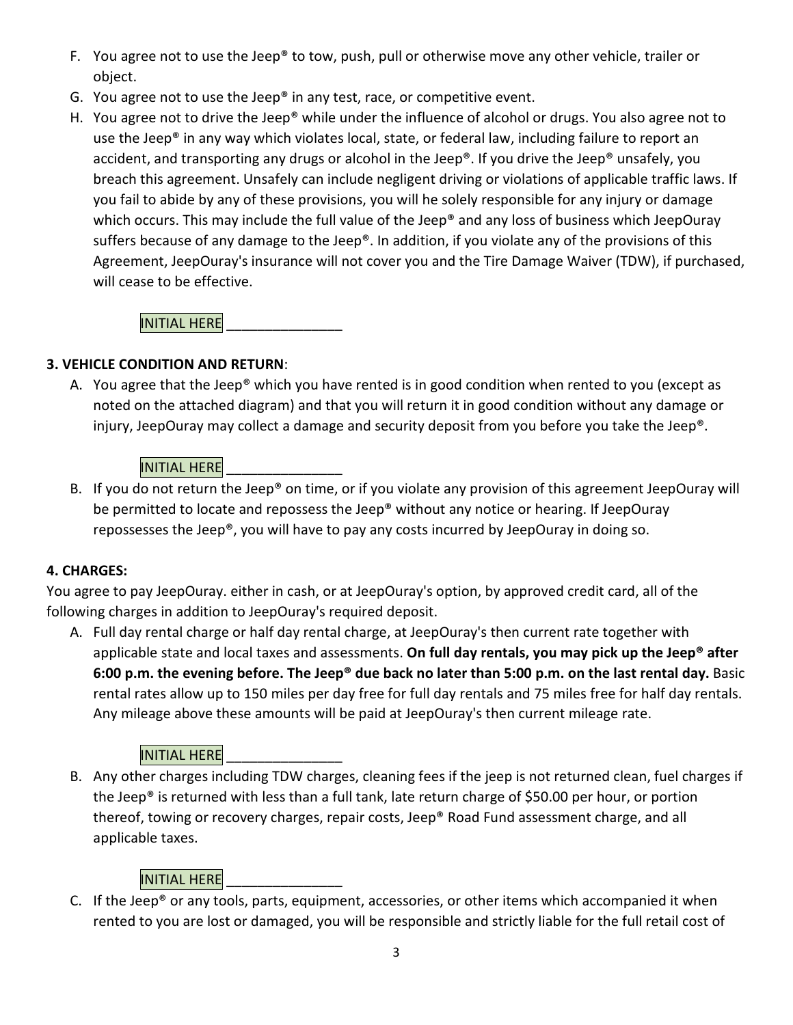- F. You agree not to use the Jeep® to tow, push, pull or otherwise move any other vehicle, trailer or object.
- G. You agree not to use the Jeep® in any test, race, or competitive event.
- H. You agree not to drive the Jeep® while under the influence of alcohol or drugs. You also agree not to use the Jeep® in any way which violates local, state, or federal law, including failure to report an accident, and transporting any drugs or alcohol in the Jeep®. If you drive the Jeep® unsafely, you breach this agreement. Unsafely can include negligent driving or violations of applicable traffic laws. If you fail to abide by any of these provisions, you will he solely responsible for any injury or damage which occurs. This may include the full value of the Jeep® and any loss of business which JeepOuray suffers because of any damage to the Jeep®. In addition, if you violate any of the provisions of this Agreement, JeepOuray's insurance will not cover you and the Tire Damage Waiver (TDW), if purchased, will cease to be effective.

**INITIAL HERE** 

#### **3. VEHICLE CONDITION AND RETURN**:

A. You agree that the Jeep® which you have rented is in good condition when rented to you (except as noted on the attached diagram) and that you will return it in good condition without any damage or injury, JeepOuray may collect a damage and security deposit from you before you take the Jeep®.

#### **INITIAL HERE**

B. If you do not return the Jeep® on time, or if you violate any provision of this agreement JeepOuray will be permitted to locate and repossess the Jeep® without any notice or hearing. If JeepOuray repossesses the Jeep®, you will have to pay any costs incurred by JeepOuray in doing so.

#### **4. CHARGES:**

You agree to pay JeepOuray. either in cash, or at JeepOuray's option, by approved credit card, all of the following charges in addition to JeepOuray's required deposit.

A. Full day rental charge or half day rental charge, at JeepOuray's then current rate together with applicable state and local taxes and assessments. **On full day rentals, you may pick up the Jeep® after 6:00 p.m. the evening before. The Jeep® due back no later than 5:00 p.m. on the last rental day.** Basic rental rates allow up to 150 miles per day free for full day rentals and 75 miles free for half day rentals. Any mileage above these amounts will be paid at JeepOuray's then current mileage rate.

#### **INITIAL HERE**

B. Any other charges including TDW charges, cleaning fees if the jeep is not returned clean, fuel charges if the Jeep® is returned with less than a full tank, late return charge of \$50.00 per hour, or portion thereof, towing or recovery charges, repair costs, Jeep® Road Fund assessment charge, and all applicable taxes.

#### **INITIAL HERE**

C. If the Jeep® or any tools, parts, equipment, accessories, or other items which accompanied it when rented to you are lost or damaged, you will be responsible and strictly liable for the full retail cost of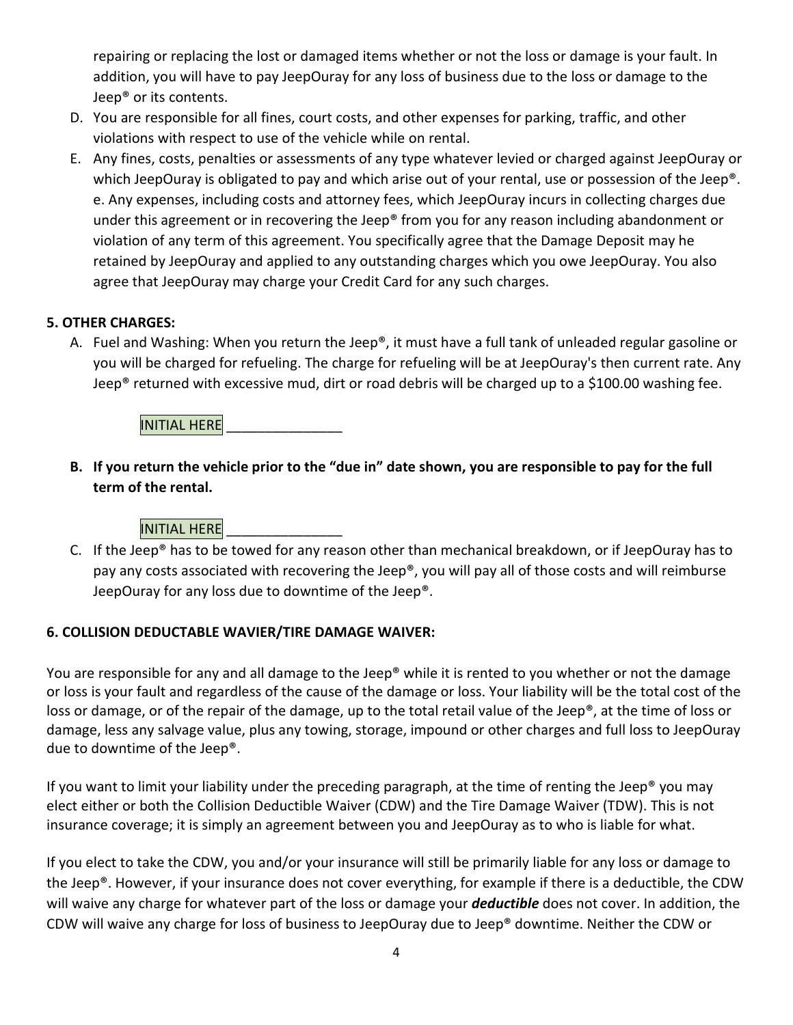repairing or replacing the lost or damaged items whether or not the loss or damage is your fault. In addition, you will have to pay JeepOuray for any loss of business due to the loss or damage to the Jeep® or its contents.

- D. You are responsible for all fines, court costs, and other expenses for parking, traffic, and other violations with respect to use of the vehicle while on rental.
- E. Any fines, costs, penalties or assessments of any type whatever levied or charged against JeepOuray or which JeepOuray is obligated to pay and which arise out of your rental, use or possession of the Jeep<sup>®</sup>. e. Any expenses, including costs and attorney fees, which JeepOuray incurs in collecting charges due under this agreement or in recovering the Jeep® from you for any reason including abandonment or violation of any term of this agreement. You specifically agree that the Damage Deposit may he retained by JeepOuray and applied to any outstanding charges which you owe JeepOuray. You also agree that JeepOuray may charge your Credit Card for any such charges.

#### **5. OTHER CHARGES:**

A. Fuel and Washing: When you return the Jeep®, it must have a full tank of unleaded regular gasoline or you will be charged for refueling. The charge for refueling will be at JeepOuray's then current rate. Any Jeep® returned with excessive mud, dirt or road debris will be charged up to a \$100.00 washing fee.

**INITIAL HERE** 

**B. If you return the vehicle prior to the "due in" date shown, you are responsible to pay for the full term of the rental.** 

#### **INITIAL HERE**

C. If the Jeep® has to be towed for any reason other than mechanical breakdown, or if JeepOuray has to pay any costs associated with recovering the Jeep®, you will pay all of those costs and will reimburse JeepOuray for any loss due to downtime of the Jeep®.

#### **6. COLLISION DEDUCTABLE WAVIER/TIRE DAMAGE WAIVER:**

You are responsible for any and all damage to the Jeep® while it is rented to you whether or not the damage or loss is your fault and regardless of the cause of the damage or loss. Your liability will be the total cost of the loss or damage, or of the repair of the damage, up to the total retail value of the Jeep®, at the time of loss or damage, less any salvage value, plus any towing, storage, impound or other charges and full loss to JeepOuray due to downtime of the Jeep®.

If you want to limit your liability under the preceding paragraph, at the time of renting the Jeep<sup>®</sup> you may elect either or both the Collision Deductible Waiver (CDW) and the Tire Damage Waiver (TDW). This is not insurance coverage; it is simply an agreement between you and JeepOuray as to who is liable for what.

If you elect to take the CDW, you and/or your insurance will still be primarily liable for any loss or damage to the Jeep®. However, if your insurance does not cover everything, for example if there is a deductible, the CDW will waive any charge for whatever part of the loss or damage your *deductible* does not cover. In addition, the CDW will waive any charge for loss of business to JeepOuray due to Jeep® downtime. Neither the CDW or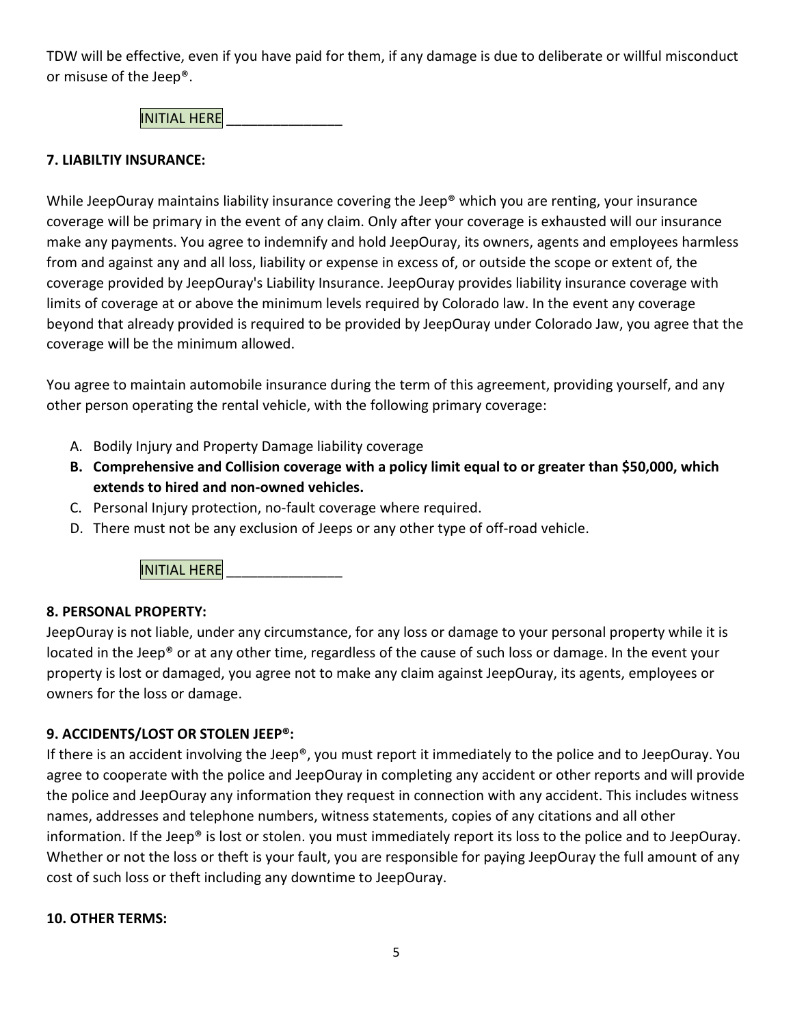TDW will be effective, even if you have paid for them, if any damage is due to deliberate or willful misconduct or misuse of the Jeep®.

**INITIAL HERE** 

#### **7. LIABILTIY INSURANCE:**

While JeepOuray maintains liability insurance covering the Jeep® which you are renting, your insurance coverage will be primary in the event of any claim. Only after your coverage is exhausted will our insurance make any payments. You agree to indemnify and hold JeepOuray, its owners, agents and employees harmless from and against any and all loss, liability or expense in excess of, or outside the scope or extent of, the coverage provided by JeepOuray's Liability Insurance. JeepOuray provides liability insurance coverage with limits of coverage at or above the minimum levels required by Colorado law. In the event any coverage beyond that already provided is required to be provided by JeepOuray under Colorado Jaw, you agree that the coverage will be the minimum allowed.

You agree to maintain automobile insurance during the term of this agreement, providing yourself, and any other person operating the rental vehicle, with the following primary coverage:

- A. Bodily Injury and Property Damage liability coverage
- **B. Comprehensive and Collision coverage with a policy limit equal to or greater than \$50,000, which extends to hired and non-owned vehicles.**
- C. Personal Injury protection, no-fault coverage where required.
- D. There must not be any exclusion of Jeeps or any other type of off-road vehicle.

INITIAL HERE

#### **8. PERSONAL PROPERTY:**

JeepOuray is not liable, under any circumstance, for any loss or damage to your personal property while it is located in the Jeep® or at any other time, regardless of the cause of such loss or damage. In the event your property is lost or damaged, you agree not to make any claim against JeepOuray, its agents, employees or owners for the loss or damage.

#### **9. ACCIDENTS/LOST OR STOLEN JEEP®:**

If there is an accident involving the Jeep®, you must report it immediately to the police and to JeepOuray. You agree to cooperate with the police and JeepOuray in completing any accident or other reports and will provide the police and JeepOuray any information they request in connection with any accident. This includes witness names, addresses and telephone numbers, witness statements, copies of any citations and all other information. If the Jeep® is lost or stolen. you must immediately report its loss to the police and to JeepOuray. Whether or not the loss or theft is your fault, you are responsible for paying JeepOuray the full amount of any cost of such loss or theft including any downtime to JeepOuray.

#### **10. OTHER TERMS:**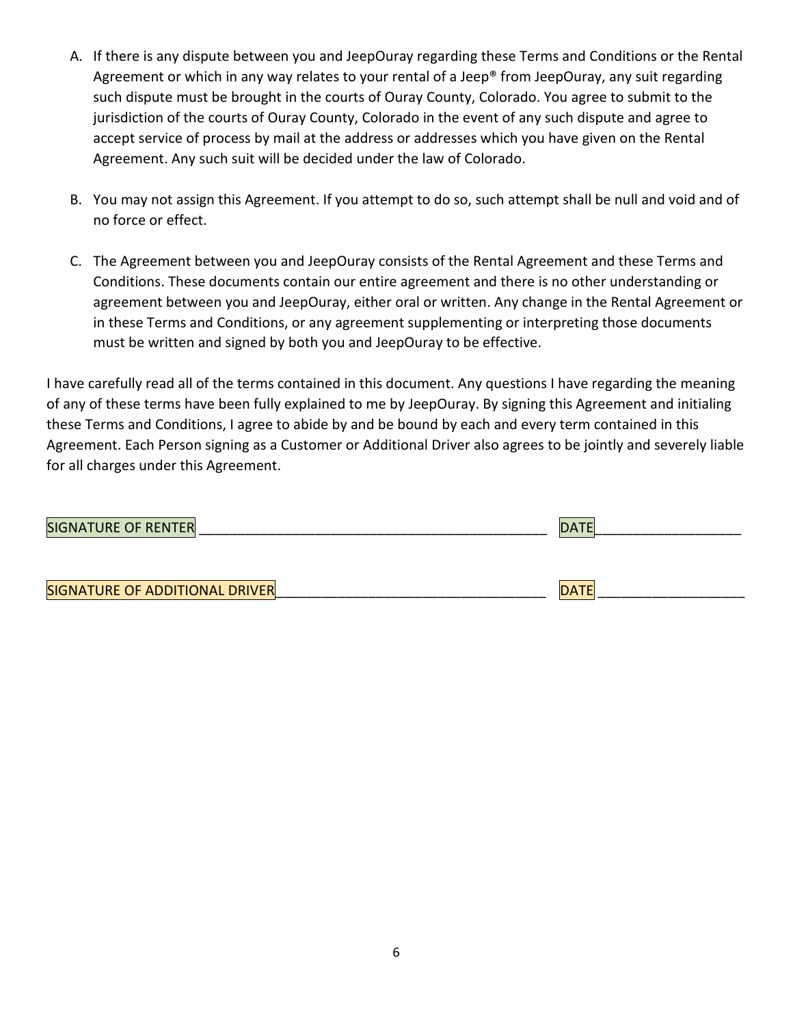- A. If there is any dispute between you and JeepOuray regarding these Terms and Conditions or the Rental Agreement or which in any way relates to your rental of a Jeep® from JeepOuray, any suit regarding such dispute must be brought in the courts of Ouray County, Colorado. You agree to submit to the jurisdiction of the courts of Ouray County, Colorado in the event of any such dispute and agree to accept service of process by mail at the address or addresses which you have given on the Rental Agreement. Any such suit will be decided under the law of Colorado.
- B. You may not assign this Agreement. If you attempt to do so, such attempt shall be null and void and of no force or effect.
- C. The Agreement between you and JeepOuray consists of the Rental Agreement and these Terms and Conditions. These documents contain our entire agreement and there is no other understanding or agreement between you and JeepOuray, either oral or written. Any change in the Rental Agreement or in these Terms and Conditions, or any agreement supplementing or interpreting those documents must be written and signed by both you and JeepOuray to be effective.

I have carefully read all of the terms contained in this document. Any questions I have regarding the meaning of any of these terms have been fully explained to me by JeepOuray. By signing this Agreement and initialing these Terms and Conditions, I agree to abide by and be bound by each and every term contained in this Agreement. Each Person signing as a Customer or Additional Driver also agrees to be jointly and severely liable for all charges under this Agreement.

| <b>SIGNATURE OF RENTER</b>     | <b>DATE</b> |
|--------------------------------|-------------|
|                                |             |
| SIGNATURE OF ADDITIONAL DRIVER | <b>DATE</b> |